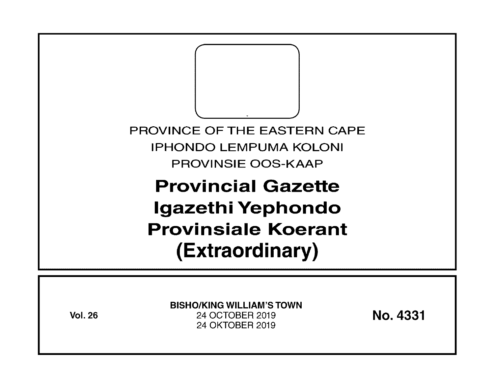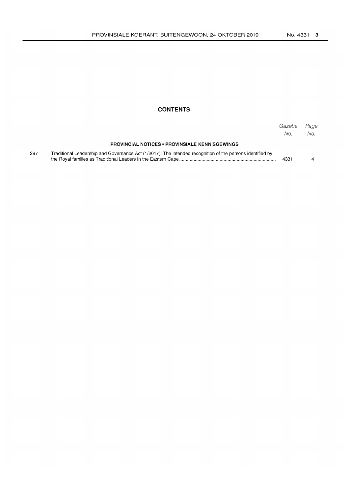#### **CONTENTS**

|     |                                                                                                           | Gazette<br>No. | Page<br>No. |
|-----|-----------------------------------------------------------------------------------------------------------|----------------|-------------|
|     | <b>PROVINCIAL NOTICES • PROVINSIALE KENNISGEWINGS</b>                                                     |                |             |
| 297 | Traditional Leadership and Governance Act (1/2017): The intended recognition of the persons identified by | 4331           |             |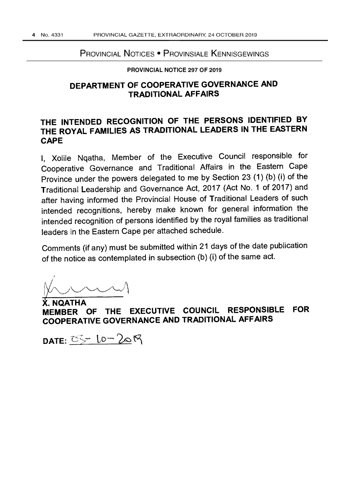### PROVINCIAL NOTICES • PROVINSIALE KENNISGEWINGS

#### PROVINCIAL NOTICE 297 OF 2019

## **DEPARTMENT OF COOPERATIVE GOVERNANCE AND TRADITIONAL AFFAIRS**

# **THE INTENDED RECOGNITION OF THE PERSONS IDENTIFIED BY THE ROYAL FAMILIES AS TRADITIONAL LEADERS IN THE EASTERN CAPE**

I, Xolile Nqatha, Member of the Executive Council responsible for Cooperative Governance and Traditional Affairs in the Eastern Cape Province under the powers delegated to me by Section 23 (1) (b) (i) of the Traditional Leadership and Governance Act, 2017 (Act No.1 of 2017) and after having informed the Provincial House of Traditional Leaders of such intended recognitions, hereby make known for general information the intended recognition of persons identified by the royal families as traditional leaders in the Eastern Cape per attached schedule.

Comments (if any) must be submitted within 21 days of the date publication of the notice as contemplated in subsection (b) (i) of the same act.

,  $\n *W*  $\overline{W}$$ 

**iNQATHA MEMBER OF THE EXECUTIVE COUNCIL RESPONSIBLE FOR COOPERATIVE GOVERNANCE AND TRADITIONAL AFFAIRS** 

DATE: 05-10-2019